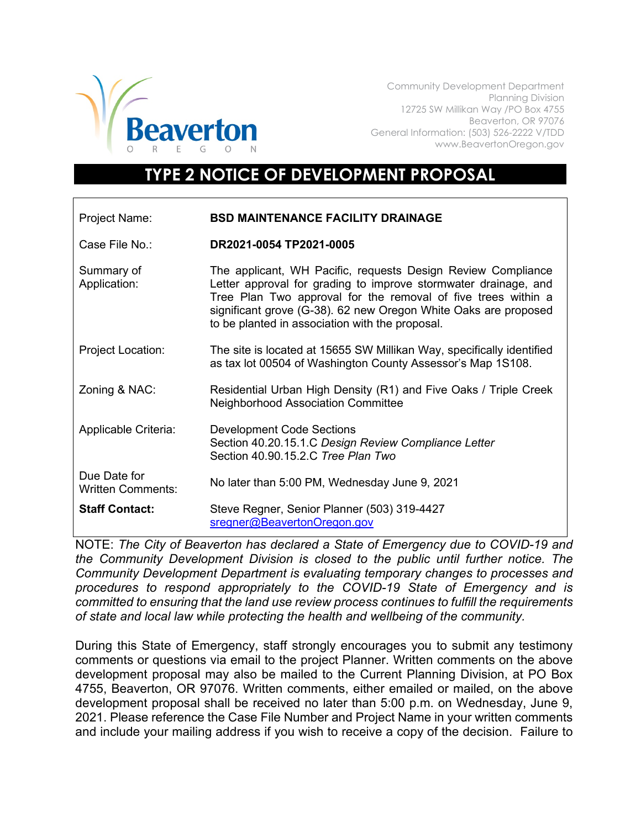

Community Development Department Planning Division 12725 SW Millikan Way /PO Box 4755 Beaverton, OR 97076 General Information: (503) 526-2222 V/TDD www.BeavertonOregon.gov

## **TYPE 2 NOTICE OF DEVELOPMENT PROPOSAL**

| Project Name:                            | <b>BSD MAINTENANCE FACILITY DRAINAGE</b>                                                                                                                                                                                                                                                                               |
|------------------------------------------|------------------------------------------------------------------------------------------------------------------------------------------------------------------------------------------------------------------------------------------------------------------------------------------------------------------------|
| Case File No.:                           | DR2021-0054 TP2021-0005                                                                                                                                                                                                                                                                                                |
| Summary of<br>Application:               | The applicant, WH Pacific, requests Design Review Compliance<br>Letter approval for grading to improve stormwater drainage, and<br>Tree Plan Two approval for the removal of five trees within a<br>significant grove (G-38). 62 new Oregon White Oaks are proposed<br>to be planted in association with the proposal. |
| <b>Project Location:</b>                 | The site is located at 15655 SW Millikan Way, specifically identified<br>as tax lot 00504 of Washington County Assessor's Map 1S108.                                                                                                                                                                                   |
| Zoning & NAC:                            | Residential Urban High Density (R1) and Five Oaks / Triple Creek<br><b>Neighborhood Association Committee</b>                                                                                                                                                                                                          |
| Applicable Criteria:                     | <b>Development Code Sections</b><br>Section 40.20.15.1.C Design Review Compliance Letter<br>Section 40.90.15.2.C Tree Plan Two                                                                                                                                                                                         |
| Due Date for<br><b>Written Comments:</b> | No later than 5:00 PM, Wednesday June 9, 2021                                                                                                                                                                                                                                                                          |
| <b>Staff Contact:</b>                    | Steve Regner, Senior Planner (503) 319-4427<br>sregner@BeavertonOregon.gov                                                                                                                                                                                                                                             |

NOTE: *The City of Beaverton has declared a State of Emergency due to COVID-19 and the Community Development Division is closed to the public until further notice. The Community Development Department is evaluating temporary changes to processes and procedures to respond appropriately to the COVID-19 State of Emergency and is committed to ensuring that the land use review process continues to fulfill the requirements of state and local law while protecting the health and wellbeing of the community.*

During this State of Emergency, staff strongly encourages you to submit any testimony comments or questions via email to the project Planner. Written comments on the above development proposal may also be mailed to the Current Planning Division, at PO Box 4755, Beaverton, OR 97076. Written comments, either emailed or mailed, on the above development proposal shall be received no later than 5:00 p.m. on Wednesday, June 9, 2021. Please reference the Case File Number and Project Name in your written comments and include your mailing address if you wish to receive a copy of the decision. Failure to